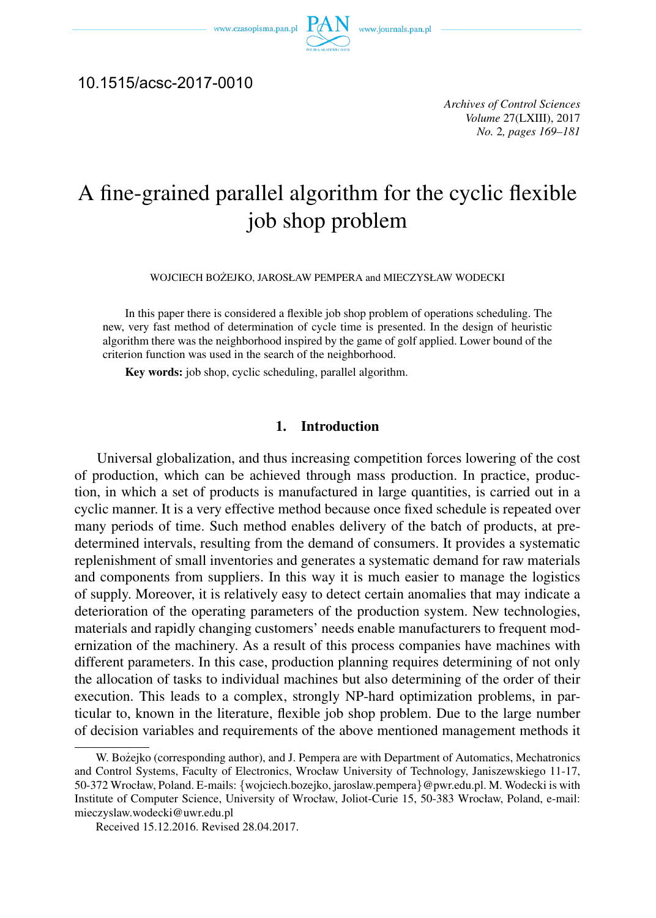www.czasopisma.pan.pl  $PA$ 



10.1515/acsc-2017-0010

*Archives of Control Sciences Volume* 27(LXIII), 2017 *No.* 2*, pages 169–181*

# A fine-grained parallel algorithm for the cyclic flexible job shop problem

WOJCIECH BOŻEJKO, JAROSŁAW PEMPERA and MIECZYSŁAW WODECKI

In this paper there is considered a flexible job shop problem of operations scheduling. The new, very fast method of determination of cycle time is presented. In the design of heuristic algorithm there was the neighborhood inspired by the game of golf applied. Lower bound of the criterion function was used in the search of the neighborhood.

Key words: job shop, cyclic scheduling, parallel algorithm.

## 1. Introduction

Universal globalization, and thus increasing competition forces lowering of the cost of production, which can be achieved through mass production. In practice, production, in which a set of products is manufactured in large quantities, is carried out in a cyclic manner. It is a very effective method because once fixed schedule is repeated over many periods of time. Such method enables delivery of the batch of products, at predetermined intervals, resulting from the demand of consumers. It provides a systematic replenishment of small inventories and generates a systematic demand for raw materials and components from suppliers. In this way it is much easier to manage the logistics of supply. Moreover, it is relatively easy to detect certain anomalies that may indicate a deterioration of the operating parameters of the production system. New technologies, materials and rapidly changing customers' needs enable manufacturers to frequent modernization of the machinery. As a result of this process companies have machines with different parameters. In this case, production planning requires determining of not only the allocation of tasks to individual machines but also determining of the order of their execution. This leads to a complex, strongly NP-hard optimization problems, in particular to, known in the literature, flexible job shop problem. Due to the large number of decision variables and requirements of the above mentioned management methods it

W. Bożejko (corresponding author), and J. Pempera are with Department of Automatics, Mechatronics and Control Systems, Faculty of Electronics, Wrocław University of Technology, Janiszewskiego 11-17, 50-372 Wrocław, Poland. E-mails: *{*wojciech.bozejko, jaroslaw.pempera*}*@pwr.edu.pl. M. Wodecki is with Institute of Computer Science, University of Wrocław, Joliot-Curie 15, 50-383 Wrocław, Poland, e-mail: mieczyslaw.wodecki@uwr.edu.pl

Received 15.12.2016. Revised 28.04.2017.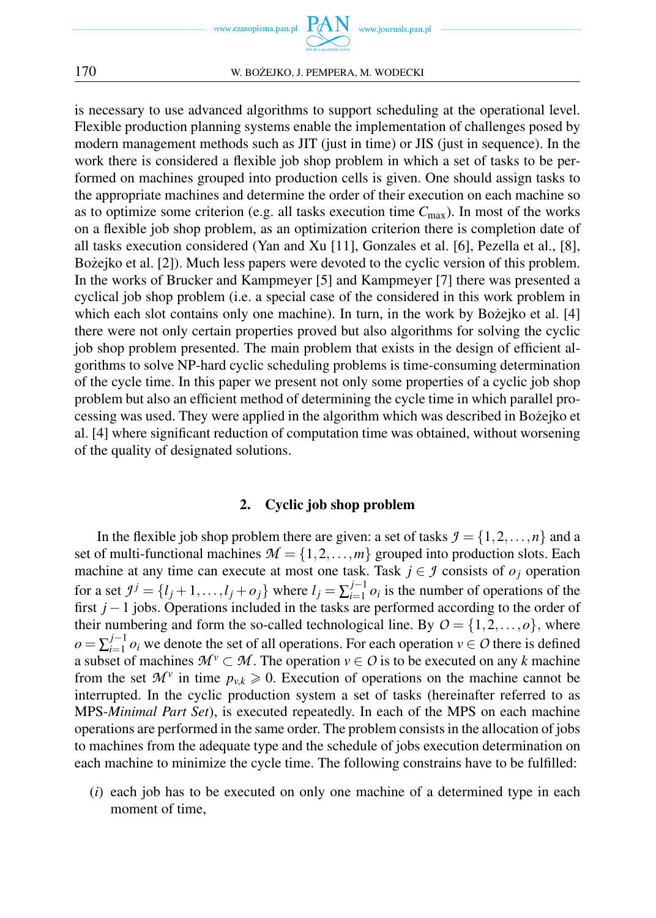

www.journals.pan.p



170 W. BOŻEJKO, J. PEMPERA, M. WODECKI

is necessary to use advanced algorithms to support scheduling at the operational level. Flexible production planning systems enable the implementation of challenges posed by modern management methods such as JIT (just in time) or JIS (just in sequence). In the work there is considered a flexible job shop problem in which a set of tasks to be performed on machines grouped into production cells is given. One should assign tasks to the appropriate machines and determine the order of their execution on each machine so as to optimize some criterion (e.g. all tasks execution time *C*max). In most of the works on a flexible job shop problem, as an optimization criterion there is completion date of all tasks execution considered (Yan and Xu [11], Gonzales et al. [6], Pezella et al., [8], Bożejko et al. [2]). Much less papers were devoted to the cyclic version of this problem. In the works of Brucker and Kampmeyer [5] and Kampmeyer [7] there was presented a cyclical job shop problem (i.e. a special case of the considered in this work problem in which each slot contains only one machine). In turn, in the work by Bozejko et al.  $[4]$ there were not only certain properties proved but also algorithms for solving the cyclic job shop problem presented. The main problem that exists in the design of efficient algorithms to solve NP-hard cyclic scheduling problems is time-consuming determination of the cycle time. In this paper we present not only some properties of a cyclic job shop problem but also an efficient method of determining the cycle time in which parallel processing was used. They were applied in the algorithm which was described in Bozejko et al. [4] where significant reduction of computation time was obtained, without worsening of the quality of designated solutions.

## 2. Cyclic job shop problem

In the flexible job shop problem there are given: a set of tasks  $\mathcal{I} = \{1, 2, ..., n\}$  and a set of multi-functional machines  $M = \{1, 2, ..., m\}$  grouped into production slots. Each machine at any time can execute at most one task. Task  $j \in \mathcal{I}$  consists of  $o_j$  operation for a set  $\mathcal{I}^j = \{l_j + 1, ..., l_j + o_j\}$  where  $l_j = \sum_{i=1}^{j-1}$  $\int_{i=1}^{j-1}$  *o*<sub>*i*</sub> is the number of operations of the first *j −*1 jobs. Operations included in the tasks are performed according to the order of their numbering and form the so-called technological line. By  $O = \{1, 2, ..., o\}$ , where  $o = \sum_{i=1}^{j-1}$  $\int_{i=1}^{j-1} o_i$  we denote the set of all operations. For each operation  $v \in O$  there is defined a subset of machines  $\mathcal{M}^{\nu} \subset \mathcal{M}$ . The operation  $\nu \in \mathcal{O}$  is to be executed on any *k* machine from the set  $\mathcal{M}^{\nu}$  in time  $p_{\nu,k} \ge 0$ . Execution of operations on the machine cannot be interrupted. In the cyclic production system a set of tasks (hereinafter referred to as MPS-*Minimal Part Set*), is executed repeatedly. In each of the MPS on each machine operations are performed in the same order. The problem consists in the allocation of jobs to machines from the adequate type and the schedule of jobs execution determination on each machine to minimize the cycle time. The following constrains have to be fulfilled:

(*i*) each job has to be executed on only one machine of a determined type in each moment of time,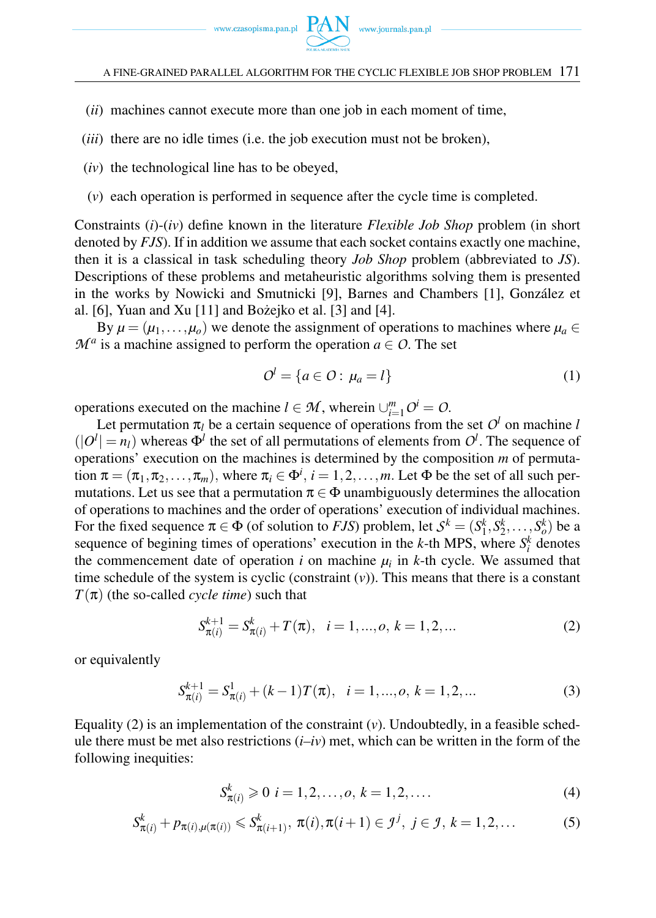- (*ii*) machines cannot execute more than one job in each moment of time,
- (*iii*) there are no idle times (i.e. the job execution must not be broken),
- (*iv*) the technological line has to be obeyed,
- (*v*) each operation is performed in sequence after the cycle time is completed.

Constraints (*i*)-(*iv*) define known in the literature *Flexible Job Shop* problem (in short denoted by *FJS*). If in addition we assume that each socket contains exactly one machine, then it is a classical in task scheduling theory *Job Shop* problem (abbreviated to *JS*). Descriptions of these problems and metaheuristic algorithms solving them is presented in the works by Nowicki and Smutnicki [9], Barnes and Chambers [1], González et al. [6], Yuan and Xu  $[11]$  and Bozejko et al.  $[3]$  and  $[4]$ .

By  $\mu = (\mu_1, \ldots, \mu_o)$  we denote the assignment of operations to machines where  $\mu_a \in$  $M^a$  is a machine assigned to perform the operation  $a \in O$ . The set

$$
O^l = \{a \in O : \mu_a = l\}
$$
 (1)

operations executed on the machine  $l \in \mathcal{M}$ , wherein  $\bigcup_{i=1}^{m} O^i = O$ .

Let permutation  $\pi_l$  be a certain sequence of operations from the set  $O^l$  on machine *l*  $(|O^l| = n_l)$  whereas  $\Phi^l$  the set of all permutations of elements from  $O^l$ . The sequence of operations' execution on the machines is determined by the composition *m* of permutation  $\pi = (\pi_1, \pi_2, \dots, \pi_m)$ , where  $\pi_i \in \Phi^i$ ,  $i = 1, 2, \dots, m$ . Let  $\Phi$  be the set of all such permutations. Let us see that a permutation  $\pi \in \Phi$  unambiguously determines the allocation of operations to machines and the order of operations' execution of individual machines. For the fixed sequence  $\pi \in \Phi$  (of solution to *FJS*) problem, let  $\mathcal{S}^k = (S^k_1, S^k_2, \dots, S^k_o)$  be a sequence of begining times of operations' execution in the  $k$ -th MPS, where  $S_i^k$  denotes the commencement date of operation  $i$  on machine  $\mu_i$  in  $k$ -th cycle. We assumed that time schedule of the system is cyclic (constraint  $(v)$ ). This means that there is a constant  $T(\pi)$  (the so-called *cycle time*) such that

$$
S_{\pi(i)}^{k+1} = S_{\pi(i)}^k + T(\pi), \quad i = 1, ..., o, k = 1, 2, ... \tag{2}
$$

or equivalently

$$
S_{\pi(i)}^{k+1} = S_{\pi(i)}^1 + (k-1)T(\pi), \quad i = 1, ..., o, k = 1, 2, ... \tag{3}
$$

Equality (2) is an implementation of the constraint  $(v)$ . Undoubtedly, in a feasible schedule there must be met also restrictions  $(i-iv)$  met, which can be written in the form of the following inequities:

$$
S_{\pi(i)}^k \geq 0 \quad i = 1, 2, \dots, o, \ k = 1, 2, \dots \tag{4}
$$

$$
S_{\pi(i)}^{k} + p_{\pi(i),\mu(\pi(i))} \leqslant S_{\pi(i+1)}^{k}, \pi(i),\pi(i+1) \in \mathcal{I}^{j}, \ j \in \mathcal{I}, \ k = 1,2,\ldots
$$
 (5)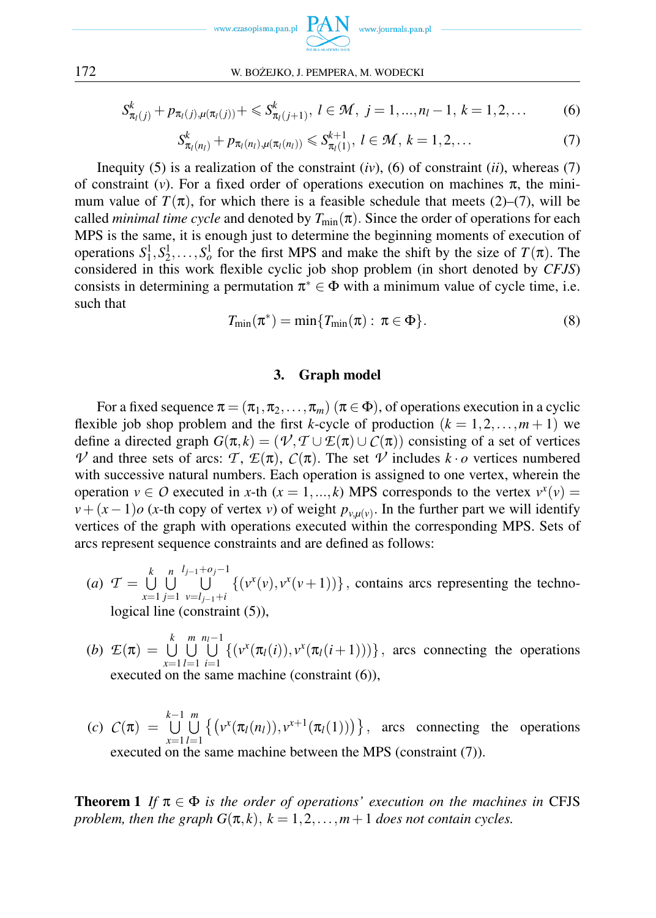

$$
S^k_{\pi_l(j)} + p_{\pi_l(j),\mu(\pi_l(j))} + \leqslant S^k_{\pi_l(j+1)}, \ l \in \mathcal{M}, \ j = 1, \ldots, n_l - 1, \ k = 1, 2, \ldots \tag{6}
$$

$$
S^k_{\pi_l(n_l)} + p_{\pi_l(n_l),\mu(\pi_l(n_l))} \leqslant S^{k+1}_{\pi_l(1)}, \ l \in \mathcal{M}, \ k = 1,2,\ldots \tag{7}
$$

Inequity (5) is a realization of the constraint  $(iv)$ , (6) of constraint  $(ii)$ , whereas (7) of constraint (*v*). For a fixed order of operations execution on machines  $\pi$ , the minimum value of  $T(\pi)$ , for which there is a feasible schedule that meets (2)–(7), will be called *minimal time cycle* and denoted by  $T_{\text{min}}(\pi)$ . Since the order of operations for each MPS is the same, it is enough just to determine the beginning moments of execution of operations  $S_1^1, S_2^1, \ldots, S_o^1$  for the first MPS and make the shift by the size of  $T(\pi)$ . The considered in this work flexible cyclic job shop problem (in short denoted by *CFJS*) consists in determining a permutation  $\pi^* \in \Phi$  with a minimum value of cycle time, i.e. such that

$$
T_{\min}(\pi^*) = \min\{T_{\min}(\pi): \pi \in \Phi\}.
$$
\n(8)

#### 3. Graph model

For a fixed sequence  $\pi = (\pi_1, \pi_2, \ldots, \pi_m)$  ( $\pi \in \Phi$ ), of operations execution in a cyclic flexible job shop problem and the first *k*-cycle of production  $(k = 1, 2, \ldots, m + 1)$  we define a directed graph  $G(\pi, k) = (\mathcal{V}, \mathcal{T} \cup \mathcal{E}(\pi) \cup \mathcal{C}(\pi))$  consisting of a set of vertices *V* and three sets of arcs: *T*,  $E(\pi)$ ,  $C(\pi)$ . The set *V* includes *k · o* vertices numbered with successive natural numbers. Each operation is assigned to one vertex, wherein the operation  $v \in O$  executed in *x*-th ( $x = 1,...,k$ ) MPS corresponds to the vertex  $v^x(v) =$ *v* + (*x* − 1)*o* (*x*-th copy of vertex *v*) of weight  $p_{v,\mu(v)}$ . In the further part we will identify vertices of the graph with operations executed within the corresponding MPS. Sets of arcs represent sequence constraints and are defined as follows:

- $(a)$   $T = \bigcup_{k=1}^{k}$ *x*=1 ∪*n j*=1 *lj−*1+ ∪*oj−*<sup>1</sup> *v*=*lj−*1+*i*  $\{(v^x(v), v^x(v+1))\}$ , contains arcs representing the technological line (constraint (5)).
- (*b*)  $\mathcal{E}(\pi) = \bigcup_{k=1}^{k}$ *x*=1 ∪*m l*=1 *n*<sub>*l*</sub>−1<br>| | *i*=1  $\{(v^x(\pi_l(i)), v^x(\pi_l(i+1)))\}$ , arcs connecting the operations executed on the same machine (constraint (6)),
- $(c)$   $C(\pi) = \bigcup^{k-1}$ *x*=1 ∪*m l*=1  $\{ (v^x(\pi_l(n_l)), v^{x+1}(\pi_l(1))) \}$ , arcs connecting the operations executed on the same machine between the MPS (constraint (7)).

**Theorem 1** If  $\pi \in \Phi$  *is the order of operations' execution on the machines in* CFJS *problem, then the graph*  $G(\pi, k)$ *,*  $k = 1, 2, ..., m+1$  *does not contain cycles.*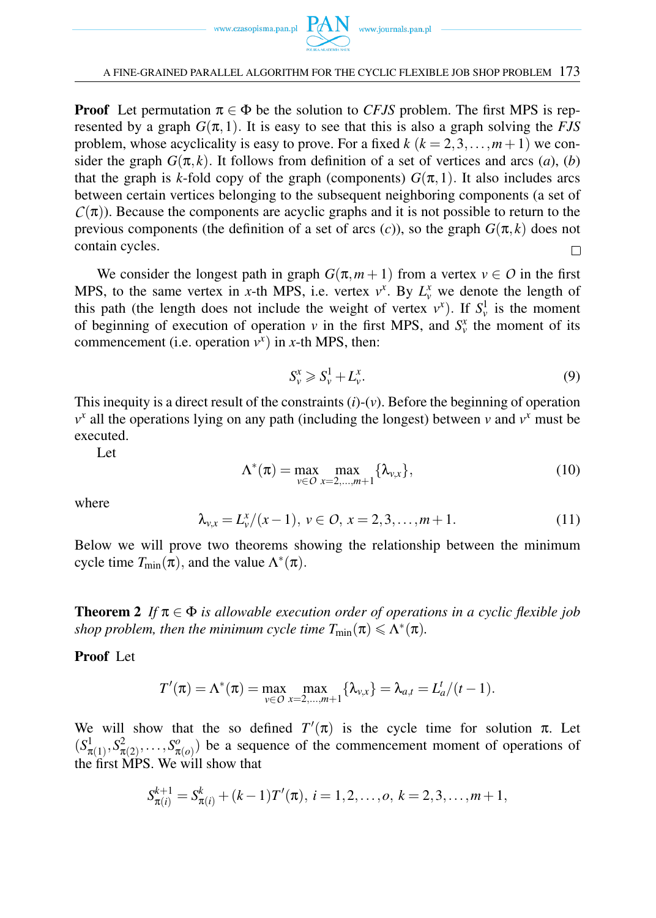



A FINE-GRAINED PARALLEL ALGORITHM FOR THE CYCLIC FLEXIBLE JOB SHOP PROBLEM 173

**Proof** Let permutation  $\pi \in \Phi$  be the solution to *CFJS* problem. The first MPS is represented by a graph  $G(\pi,1)$ . It is easy to see that this is also a graph solving the *FJS* problem, whose acyclicality is easy to prove. For a fixed  $k$  ( $k = 2, 3, \ldots, m + 1$ ) we consider the graph  $G(\pi, k)$ . It follows from definition of a set of vertices and arcs  $(a)$ ,  $(b)$ that the graph is *k*-fold copy of the graph (components)  $G(\pi, 1)$ . It also includes arcs between certain vertices belonging to the subsequent neighboring components (a set of  $C(\pi)$ ). Because the components are acyclic graphs and it is not possible to return to the previous components (the definition of a set of arcs  $(c)$ ), so the graph  $G(\pi, k)$  does not contain cycles.  $\Box$ 

We consider the longest path in graph  $G(\pi, m+1)$  from a vertex  $v \in O$  in the first MPS, to the same vertex in *x*-th MPS, i.e. vertex  $v^x$ . By  $L_v^x$  we denote the length of this path (the length does not include the weight of vertex  $v^x$ ). If  $S_v^1$  is the moment of beginning of execution of operation  $v$  in the first MPS, and  $S_v^x$  the moment of its commencement (i.e. operation  $v^x$ ) in *x*-th MPS, then:

$$
S_{\nu}^x \geqslant S_{\nu}^1 + L_{\nu}^x. \tag{9}
$$

This inequity is a direct result of the constraints  $(i)-(v)$ . Before the beginning of operation  $v^x$  all the operations lying on any path (including the longest) between *v* and  $v^x$  must be executed.

Let

$$
\Lambda^*(\pi) = \max_{v \in O} \max_{x=2,\dots,m+1} \{ \lambda_{v,x} \},
$$
\n(10)

where

$$
\lambda_{\nu,x} = L_{\nu}^{x} / (x - 1), \, \nu \in \mathcal{O}, \, x = 2, 3, \dots, m + 1. \tag{11}
$$

Below we will prove two theorems showing the relationship between the minimum cycle time  $T_{\text{min}}(\pi)$ , and the value  $\Lambda^*(\pi)$ .

**Theorem 2** *If*  $\pi \in \Phi$  *is allowable execution order of operations in a cyclic flexible job shop problem, then the minimum cycle time*  $T_{\min}(\pi) \leq \Lambda^*(\pi)$ .

#### Proof Let

$$
T'(\pi) = \Lambda^*(\pi) = \max_{v \in O} \max_{x=2,...,m+1} \{\lambda_{v,x}\} = \lambda_{a,t} = L_a^t/(t-1).
$$

We will show that the so defined  $T'(\pi)$  is the cycle time for solution  $\pi$ . Let  $(S^1_{\pi(1)}, S^2_{\pi(2)}, \ldots, S^o_{\pi(o)})$  be a sequence of the commencement moment of operations of the first MPS. We will show that

$$
S_{\pi(i)}^{k+1} = S_{\pi(i)}^k + (k-1)T'(\pi), i = 1, 2, ..., o, k = 2, 3, ..., m+1,
$$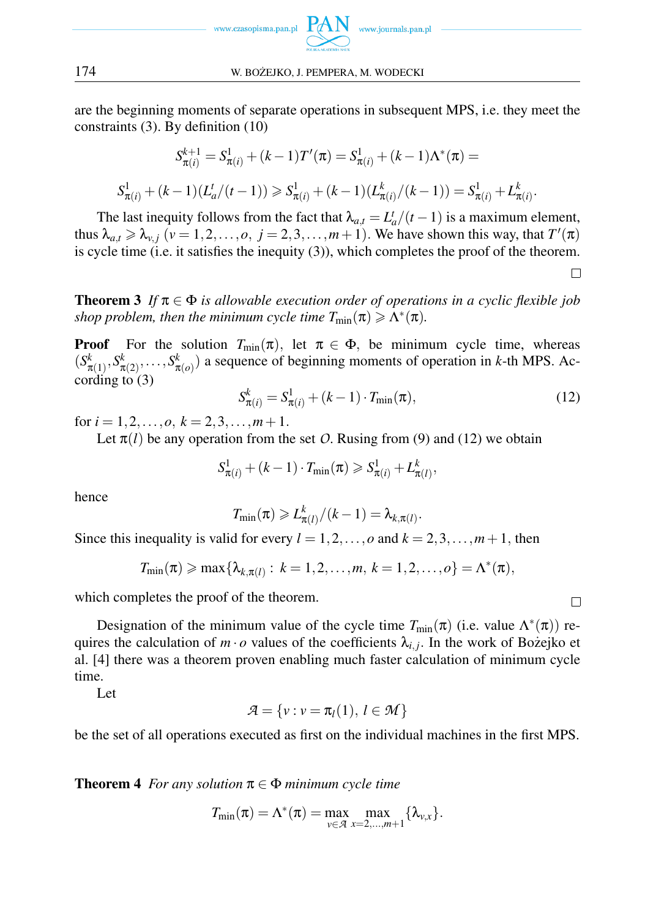

are the beginning moments of separate operations in subsequent MPS, i.e. they meet the constraints (3). By definition (10)

$$
S_{\pi(i)}^{k+1} = S_{\pi(i)}^1 + (k-1)T'(\pi) = S_{\pi(i)}^1 + (k-1)\Lambda^*(\pi) =
$$
  

$$
S_{\pi(i)}^1 + (k-1)(L_a^t/(t-1)) \ge S_{\pi(i)}^1 + (k-1)(L_{\pi(i)}^k/(k-1)) = S_{\pi(i)}^1 + L_{\pi(i)}^k.
$$

The last inequity follows from the fact that  $\lambda_{a,t} = L_a^t/(t-1)$  is a maximum element, thus  $\lambda_{a,t} \ge \lambda_{v,j}$  ( $v = 1, 2, ..., o, j = 2, 3, ..., m+1$ ). We have shown this way, that  $T'(\pi)$ is cycle time (i.e. it satisfies the inequity (3)), which completes the proof of the theorem.

**Theorem 3** If  $\pi \in \Phi$  *is allowable execution order of operations in a cyclic flexible job shop problem, then the minimum cycle time*  $T_{\min}(\pi) \geqslant \Lambda^*(\pi)$ *.* 

**Proof** For the solution  $T_{\text{min}}(\pi)$ , let  $\pi \in \Phi$ , be minimum cycle time, whereas  $(S_{\pi(1)}^k, S_{\pi(2)}^k, \ldots, S_{\pi(n)}^k)$  a sequence of beginning moments of operation in *k*-th MPS. According to (3)

$$
S_{\pi(i)}^k = S_{\pi(i)}^1 + (k-1) \cdot T_{\min}(\pi), \tag{12}
$$

for  $i = 1, 2, \ldots, o, k = 2, 3, \ldots, m + 1$ .

Let  $\pi(l)$  be any operation from the set *O*. Rusing from (9) and (12) we obtain

 $S_{\pi(i)}^1 + (k-1) \cdot T_{\min}(\pi) \geqslant S_{\pi(i)}^1 + L_{\pi(l)}^k,$ 

hence

$$
T_{\min}(\pi) \geqslant L_{\pi(l)}^k/(k-1) = \lambda_{k,\pi(l)}.
$$

Since this inequality is valid for every  $l = 1, 2, \ldots, o$  and  $k = 2, 3, \ldots, m + 1$ , then

$$
T_{\min}(\pi) \geqslant \max\{\lambda_{k,\pi(l)}:\, k=1,2,\ldots,m,\, k=1,2,\ldots,o\} = \Lambda^*(\pi),
$$

which completes the proof of the theorem.

Designation of the minimum value of the cycle time  $T_{\text{min}}(\pi)$  (i.e. value  $\Lambda^*(\pi)$ ) requires the calculation of  $m \cdot o$  values of the coefficients  $\lambda_{i,j}$ . In the work of Bozejko et al. [4] there was a theorem proven enabling much faster calculation of minimum cycle time.

Let

$$
\mathcal{A} = \{v : v = \pi_l(1), \ l \in \mathcal{M}\}
$$

be the set of all operations executed as first on the individual machines in the first MPS.

**Theorem 4** *For any solution*  $\pi \in \Phi$  *minimum cycle time* 

$$
T_{min}(\pi)=\Lambda^*(\pi)=\max_{\nu\in\mathcal{A}}\max_{x=2,\ldots,m+1}\{\lambda_{\nu,x}\}.
$$

 $\Box$ 

 $\Box$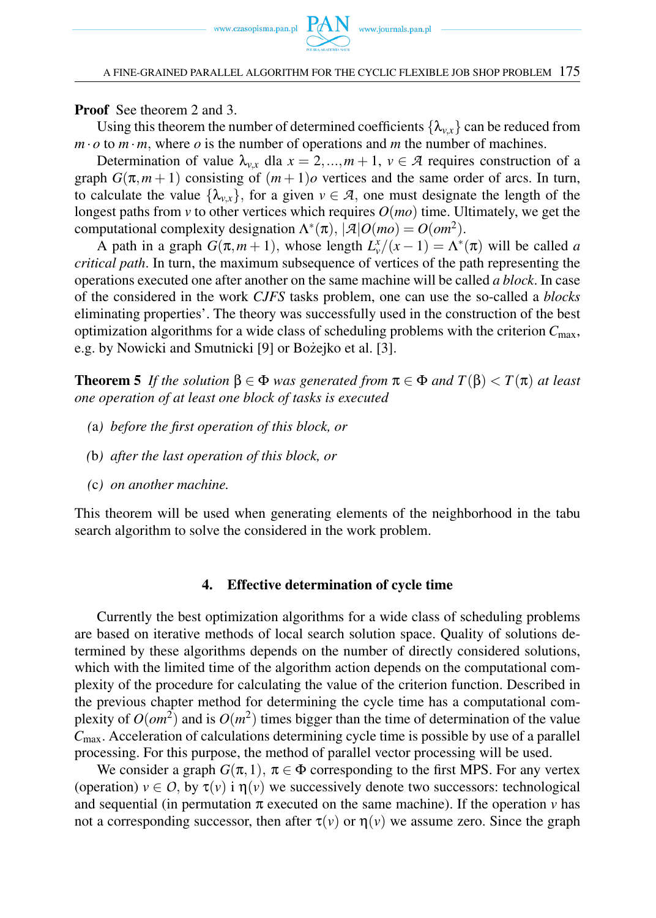

Proof See theorem 2 and 3.

Using this theorem the number of determined coefficients  $\{\lambda_{v,x}\}$  can be reduced from  $m \cdot o$  to  $m \cdot m$ , where  $o$  is the number of operations and  $m$  the number of machines.

Determination of value  $\lambda_{v,x}$  dla  $x = 2,...,m+1$ ,  $v \in \mathcal{A}$  requires construction of a graph  $G(\pi, m+1)$  consisting of  $(m+1)\rho$  vertices and the same order of arcs. In turn, to calculate the value  $\{\lambda_{v,x}\}\)$ , for a given  $v \in \mathcal{A}$ , one must designate the length of the longest paths from *v* to other vertices which requires  $O(mo)$  time. Ultimately, we get the computational complexity designation  $\Lambda^*(\pi)$ ,  $|\mathcal{A}|O(mo) = O(om^2)$ .

A path in a graph  $G(\pi, m+1)$ , whose length  $L_v^x/(x-1) = \Lambda^*(\pi)$  will be called *a critical path*. In turn, the maximum subsequence of vertices of the path representing the operations executed one after another on the same machine will be called *a block*. In case of the considered in the work *CJFS* tasks problem, one can use the so-called a *blocks* eliminating properties'. The theory was successfully used in the construction of the best optimization algorithms for a wide class of scheduling problems with the criterion *C*max, e.g. by Nowicki and Smutnicki [9] or Bozejko et al. [3].

**Theorem 5** *If the solution*  $β ∈ Φ$  *was generated from*  $π ∈ Φ$  *and*  $T(β) < T(π)$  *at least one operation of at least one block of tasks is executed*

- *(*a*) before the first operation of this block, or*
- *(*b*) after the last operation of this block, or*
- *(*c*) on another machine.*

This theorem will be used when generating elements of the neighborhood in the tabu search algorithm to solve the considered in the work problem.

#### 4. Effective determination of cycle time

Currently the best optimization algorithms for a wide class of scheduling problems are based on iterative methods of local search solution space. Quality of solutions determined by these algorithms depends on the number of directly considered solutions, which with the limited time of the algorithm action depends on the computational complexity of the procedure for calculating the value of the criterion function. Described in the previous chapter method for determining the cycle time has a computational complexity of  $O(om^2)$  and is  $O(m^2)$  times bigger than the time of determination of the value *C*max. Acceleration of calculations determining cycle time is possible by use of a parallel processing. For this purpose, the method of parallel vector processing will be used.

We consider a graph  $G(\pi,1)$ ,  $\pi \in \Phi$  corresponding to the first MPS. For any vertex (operation)  $v \in O$ , by  $\tau(v)$  i  $\eta(v)$  we successively denote two successors: technological and sequential (in permutation  $\pi$  executed on the same machine). If the operation *v* has not a corresponding successor, then after  $\tau(v)$  or  $\eta(v)$  we assume zero. Since the graph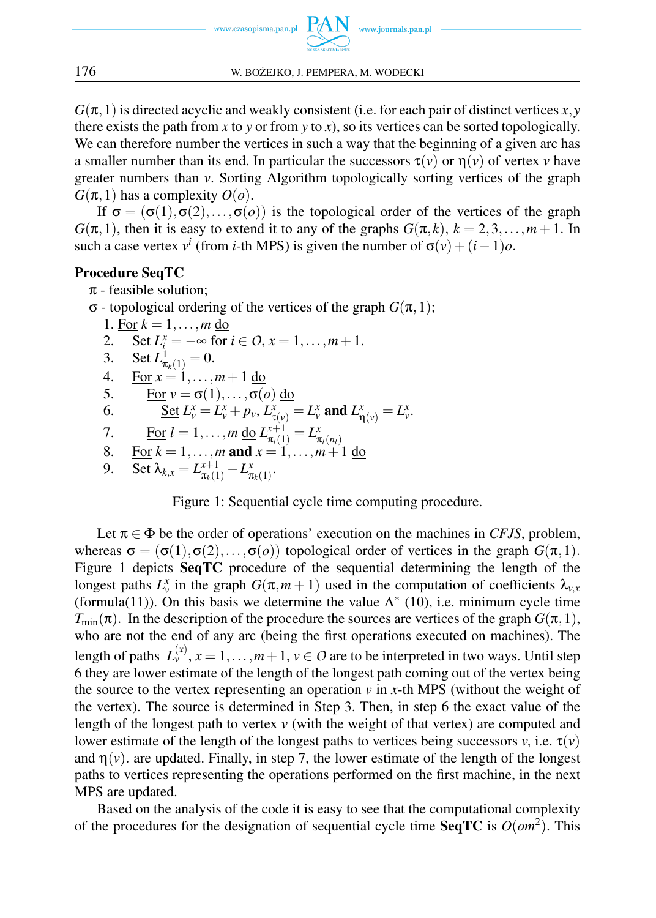

 $G(\pi, 1)$  is directed acyclic and weakly consistent (i.e. for each pair of distinct vertices *x,y* there exists the path from *x* to *y* or from *y* to *x*), so its vertices can be sorted topologically. We can therefore number the vertices in such a way that the beginning of a given arc has a smaller number than its end. In particular the successors  $\tau(v)$  or  $\eta(v)$  of vertex *v* have greater numbers than *v*. Sorting Algorithm topologically sorting vertices of the graph  $G(\pi, 1)$  has a complexity  $O(o)$ .

If  $\sigma = (\sigma(1), \sigma(2), \ldots, \sigma(o))$  is the topological order of the vertices of the graph  $G(\pi,1)$ , then it is easy to extend it to any of the graphs  $G(\pi,k)$ ,  $k = 2,3,...,m+1$ . In such a case vertex  $v^i$  (from *i*-th MPS) is given the number of  $\sigma(v) + (i-1)o$ .

## Procedure SeqTC

- $\pi$  feasible solution;
- σ topological ordering of the vertices of the graph *G*(π*,*1);
	- 1. For  $k = 1, \ldots, m$  do
	- 2. <u>Set</u>  $L_i^x = -\infty$  <u>for</u>  $i \in \mathcal{O}, x = 1, ..., m + 1$ .
	- 3. Set  $L^1_{\pi_k(1)} = 0$ .
	- 4. For  $x = 1, ..., m + 1$  do
	- 5. For  $v = \sigma(1), \ldots, \sigma(o)$  do
	- 6. Set  $L_v^x = L_v^x + p_v$ ,  $L_{\tau(v)}^x = L_v^x$  and  $L_{\tau(v)}^x = L_v^x$ .
	- 7. <u>For</u>  $l = 1, ..., m$  do  $L_{\pi_l(1)}^{x+1} = L_{\pi_l(n_l)}^x$
	- 8. For  $k = 1, ..., m$  and  $x = 1, ..., m+1$  do

9. 
$$
\underline{\text{Set}} \ \lambda_{k,x} = L_{\pi_k(1)}^{x+1} - L_{\pi_k(1)}^x.
$$

Figure 1: Sequential cycle time computing procedure.

Let  $\pi \in \Phi$  be the order of operations' execution on the machines in *CFJS*, problem, whereas  $\sigma = (\sigma(1), \sigma(2), \ldots, \sigma(o))$  topological order of vertices in the graph  $G(\pi, 1)$ . Figure 1 depicts SeqTC procedure of the sequential determining the length of the longest paths  $L^x_v$  in the graph  $G(\pi, m+1)$  used in the computation of coefficients  $\lambda_{v,x}$ (formula(11)). On this basis we determine the value  $\Lambda^*$  (10), i.e. minimum cycle time  $T_{\text{min}}(\pi)$ . In the description of the procedure the sources are vertices of the graph  $G(\pi, 1)$ , who are not the end of any arc (being the first operations executed on machines). The length of paths  $L_v^{(x)}$ ,  $x = 1, ..., m+1$ ,  $v \in O$  are to be interpreted in two ways. Until step 6 they are lower estimate of the length of the longest path coming out of the vertex being the source to the vertex representing an operation  $\nu$  in *x*-th MPS (without the weight of the vertex). The source is determined in Step 3. Then, in step 6 the exact value of the length of the longest path to vertex *v* (with the weight of that vertex) are computed and lower estimate of the length of the longest paths to vertices being successors  $v$ , i.e.  $\tau(v)$ and  $\eta(v)$ *.* are updated. Finally, in step 7, the lower estimate of the length of the longest paths to vertices representing the operations performed on the first machine, in the next MPS are updated.

Based on the analysis of the code it is easy to see that the computational complexity of the procedures for the designation of sequential cycle time  $SeqTC$  is  $O(om^2)$ . This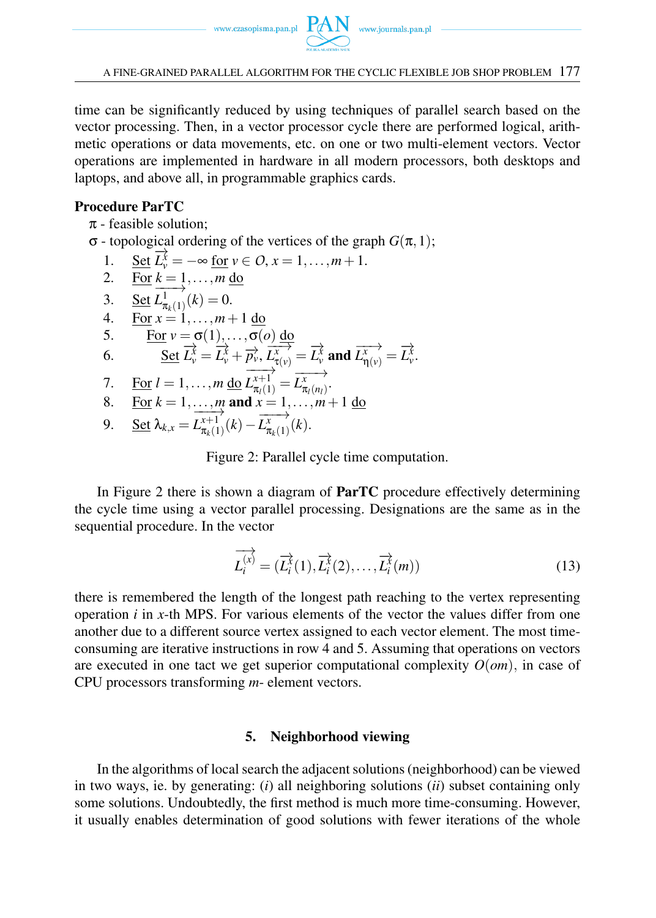time can be significantly reduced by using techniques of parallel search based on the vector processing. Then, in a vector processor cycle there are performed logical, arithmetic operations or data movements, etc. on one or two multi-element vectors. Vector operations are implemented in hardware in all modern processors, both desktops and laptops, and above all, in programmable graphics cards.

#### Procedure ParTC

 $\pi$  - feasible solution:

- σ topological ordering of the vertices of the graph *G*(π*,*1);
	- 1. <u>Set</u>  $\overrightarrow{L}_v^k = -\infty$  for  $v \in O, x = 1, ..., m+1$ .
	- 2. For  $k = 1, ..., m$  do 3. <u>Set</u> *−−−→*  $L^1_{\pi_k(1)}(k) = 0.$ 4. For  $x = 1, ..., m+1$  do 5. For  $v = \sigma(1), \ldots, \sigma(o)$  do 6. Set  $\overrightarrow{L_v^k} = \overrightarrow{L_v^k} + \overrightarrow{p_v}, \overrightarrow{L_{\tau(v)}^k} = \overrightarrow{L_v^k}$  and  $\overrightarrow{L_{\eta(v)}^k} = \overrightarrow{L_v^k}$ . 7. For  $l = 1, \ldots, m$  do *−−−→*  $\overrightarrow{L_{\pi_l(1)}^{x+1}} = \overrightarrow{L_{\pi_l(n_l)}^x}$ . 8. For  $k = 1, ..., m$  and  $x = 1, ..., m + 1$  do 9. <u>Set</u>  $\lambda_{k,x} =$ *−−−→*  $L_{\pi/(1)}^{x+1}$  $\overrightarrow{x+1}$ <sub>*πk*</sub>(1)</sub>  $(k)$ *-* $\overrightarrow{L_{\pi_k(1)}^x}(k)$ .

Figure 2: Parallel cycle time computation.

In Figure 2 there is shown a diagram of ParTC procedure effectively determining the cycle time using a vector parallel processing. Designations are the same as in the sequential procedure. In the vector

$$
\overrightarrow{L_i^{(x)}} = (\overrightarrow{L_i^x}(1), \overrightarrow{L_i^x}(2), \dots, \overrightarrow{L_i^x}(m))
$$
\n(13)

there is remembered the length of the longest path reaching to the vertex representing operation *i* in *x*-th MPS. For various elements of the vector the values differ from one another due to a different source vertex assigned to each vector element. The most timeconsuming are iterative instructions in row 4 and 5. Assuming that operations on vectors are executed in one tact we get superior computational complexity  $O($ *om*), in case of CPU processors transforming *m*- element vectors.

## 5. Neighborhood viewing

In the algorithms of local search the adjacent solutions (neighborhood) can be viewed in two ways, ie. by generating: (*i*) all neighboring solutions (*ii*) subset containing only some solutions. Undoubtedly, the first method is much more time-consuming. However, it usually enables determination of good solutions with fewer iterations of the whole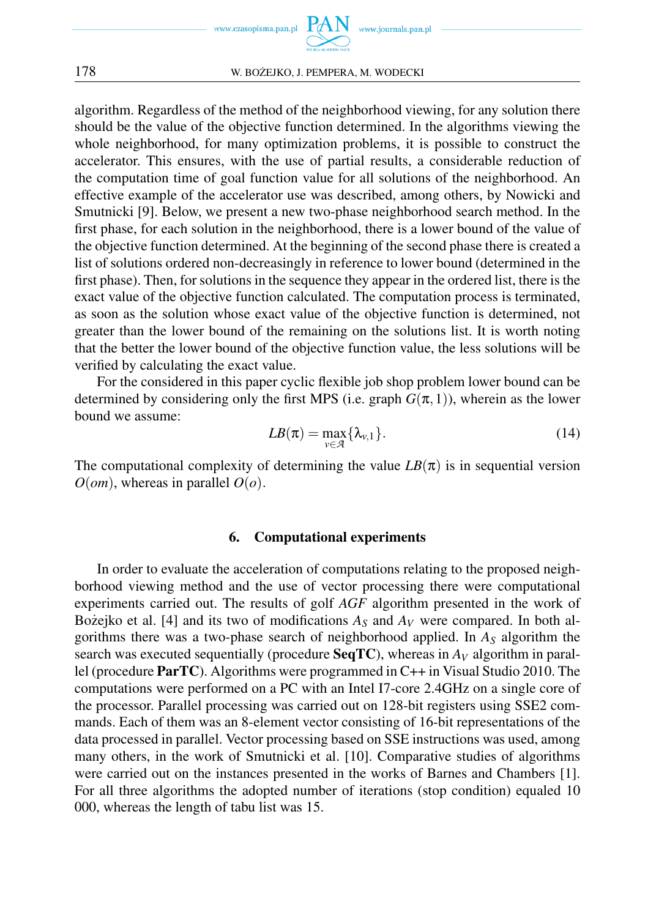

algorithm. Regardless of the method of the neighborhood viewing, for any solution there should be the value of the objective function determined. In the algorithms viewing the whole neighborhood, for many optimization problems, it is possible to construct the accelerator. This ensures, with the use of partial results, a considerable reduction of the computation time of goal function value for all solutions of the neighborhood. An effective example of the accelerator use was described, among others, by Nowicki and Smutnicki [9]. Below, we present a new two-phase neighborhood search method. In the first phase, for each solution in the neighborhood, there is a lower bound of the value of the objective function determined. At the beginning of the second phase there is created a list of solutions ordered non-decreasingly in reference to lower bound (determined in the first phase). Then, for solutions in the sequence they appear in the ordered list, there is the exact value of the objective function calculated. The computation process is terminated, as soon as the solution whose exact value of the objective function is determined, not greater than the lower bound of the remaining on the solutions list. It is worth noting that the better the lower bound of the objective function value, the less solutions will be verified by calculating the exact value.

For the considered in this paper cyclic flexible job shop problem lower bound can be determined by considering only the first MPS (i.e. graph  $G(\pi,1)$ ), wherein as the lower bound we assume:

$$
LB(\pi) = \max_{\nu \in \mathcal{A}} \{ \lambda_{\nu,1} \}.
$$
 (14)

The computational complexity of determining the value  $LB(\pi)$  is in sequential version  $O(\omega m)$ , whereas in parallel  $O(\omega)$ .

#### 6. Computational experiments

In order to evaluate the acceleration of computations relating to the proposed neighborhood viewing method and the use of vector processing there were computational experiments carried out. The results of golf *AGF* algorithm presented in the work of Bożejko et al. [4] and its two of modifications  $A<sub>S</sub>$  and  $A<sub>V</sub>$  were compared. In both algorithms there was a two-phase search of neighborhood applied. In *A<sup>S</sup>* algorithm the search was executed sequentially (procedure  $SeqTC$ ), whereas in  $A_V$  algorithm in parallel (procedure ParTC). Algorithms were programmed in C++ in Visual Studio 2010. The computations were performed on a PC with an Intel I7-core 2.4GHz on a single core of the processor. Parallel processing was carried out on 128-bit registers using SSE2 commands. Each of them was an 8-element vector consisting of 16-bit representations of the data processed in parallel. Vector processing based on SSE instructions was used, among many others, in the work of Smutnicki et al. [10]. Comparative studies of algorithms were carried out on the instances presented in the works of Barnes and Chambers [1]. For all three algorithms the adopted number of iterations (stop condition) equaled 10 000, whereas the length of tabu list was 15.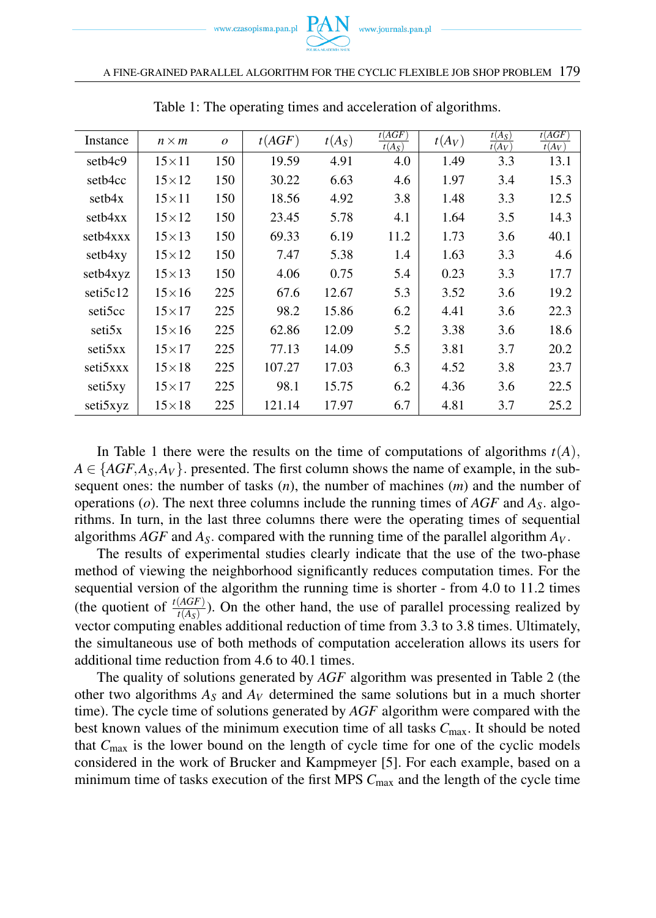www.czasopisma.pan.pl

| a fine-grained parallel algorithm for the cyclic flexible job shop problem $\,179$ |
|------------------------------------------------------------------------------------|
|------------------------------------------------------------------------------------|

| Instance            | $n \times m$ | $\mathcal{O}$ | t(AGF) | $t(A_S)$ | t(AGF)<br>$t(A_S)$ | $t(A_V)$ | $t(A_S)$<br>$t(A_V)$ | $t(\overline{AGF})$<br>$t(A_V)$ |
|---------------------|--------------|---------------|--------|----------|--------------------|----------|----------------------|---------------------------------|
| setb4c9             | $15\times11$ | 150           | 19.59  | 4.91     | 4.0                | 1.49     | 3.3                  | 13.1                            |
| setb4cc             | $15\times12$ | 150           | 30.22  | 6.63     | 4.6                | 1.97     | 3.4                  | 15.3                            |
| setb4x              | $15\times11$ | 150           | 18.56  | 4.92     | 3.8                | 1.48     | 3.3                  | 12.5                            |
| setb4xx             | $15\times12$ | 150           | 23.45  | 5.78     | 4.1                | 1.64     | 3.5                  | 14.3                            |
| setb4xxx            | $15\times13$ | 150           | 69.33  | 6.19     | 11.2               | 1.73     | 3.6                  | 40.1                            |
| setb4xy             | $15\times12$ | 150           | 7.47   | 5.38     | 1.4                | 1.63     | 3.3                  | 4.6                             |
| setb4xyz            | $15\times13$ | 150           | 4.06   | 0.75     | 5.4                | 0.23     | 3.3                  | 17.7                            |
| seti5c12            | $15\times16$ | 225           | 67.6   | 12.67    | 5.3                | 3.52     | 3.6                  | 19.2                            |
| seti5cc             | $15\times17$ | 225           | 98.2   | 15.86    | 6.2                | 4.41     | 3.6                  | 22.3                            |
| seti <sup>5x</sup>  | $15\times16$ | 225           | 62.86  | 12.09    | 5.2                | 3.38     | 3.6                  | 18.6                            |
| seti5xx             | $15\times17$ | 225           | 77.13  | 14.09    | 5.5                | 3.81     | 3.7                  | 20.2                            |
| seti5xxx            | $15\times18$ | 225           | 107.27 | 17.03    | 6.3                | 4.52     | 3.8                  | 23.7                            |
| seti <sup>5xy</sup> | $15\times17$ | 225           | 98.1   | 15.75    | 6.2                | 4.36     | 3.6                  | 22.5                            |
| seti5xyz            | $15\times18$ | 225           | 121.14 | 17.97    | 6.7                | 4.81     | 3.7                  | 25.2                            |

Table 1: The operating times and acceleration of algorithms.

In Table 1 there were the results on the time of computations of algorithms  $t(A)$ ,  $A \in \{AGF, A_S, A_V\}$ , presented. The first column shows the name of example, in the subsequent ones: the number of tasks (*n*), the number of machines (*m*) and the number of operations (*o*). The next three columns include the running times of  $AGF$  and  $A<sub>S</sub>$ . algorithms. In turn, in the last three columns there were the operating times of sequential algorithms  $AGF$  and  $A_S$ , compared with the running time of the parallel algorithm  $A_V$ .

The results of experimental studies clearly indicate that the use of the two-phase method of viewing the neighborhood significantly reduces computation times. For the sequential version of the algorithm the running time is shorter - from 4.0 to 11.2 times (the quotient of  $\frac{t(AGF)}{t(As)}$ ). On the other hand, the use of parallel processing realized by vector computing enables additional reduction of time from 3.3 to 3.8 times. Ultimately, the simultaneous use of both methods of computation acceleration allows its users for additional time reduction from 4.6 to 40.1 times.

The quality of solutions generated by *AGF* algorithm was presented in Table 2 (the other two algorithms  $A<sub>S</sub>$  and  $A<sub>V</sub>$  determined the same solutions but in a much shorter time). The cycle time of solutions generated by *AGF* algorithm were compared with the best known values of the minimum execution time of all tasks *C*max. It should be noted that *C*max is the lower bound on the length of cycle time for one of the cyclic models considered in the work of Brucker and Kampmeyer [5]. For each example, based on a minimum time of tasks execution of the first MPS *C*max and the length of the cycle time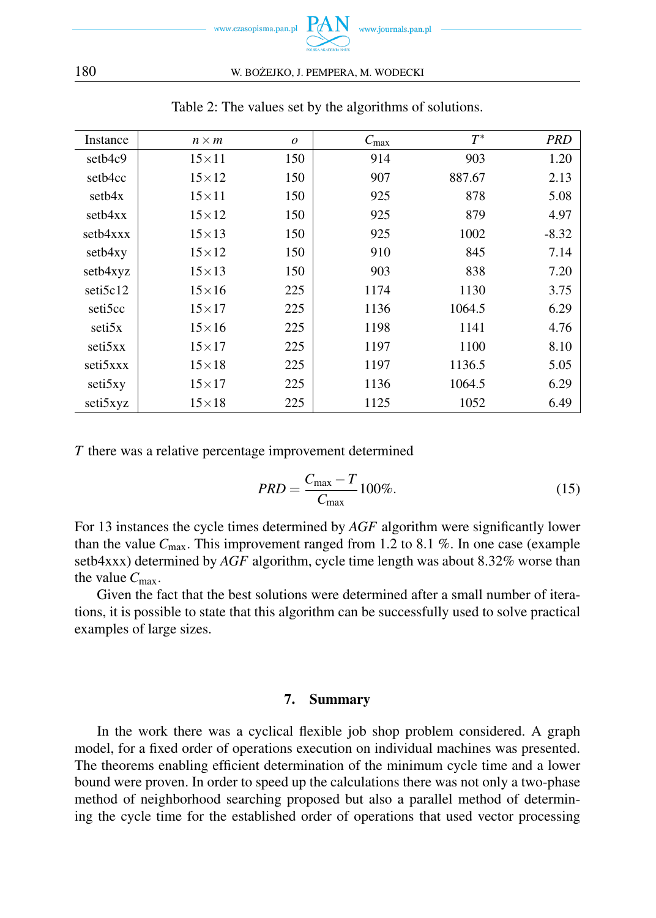

| Instance            | $n \times m$   | $\mathcal{O}$ | $C_{\rm max}$ | $T^*$  | <b>PRD</b> |
|---------------------|----------------|---------------|---------------|--------|------------|
| setb4c9             | $15\times11$   | 150           | 914           | 903    | 1.20       |
| setb4cc             | $15\times12$   | 150           | 907           | 887.67 | 2.13       |
| setb4x              | $15\times11$   | 150           | 925           | 878    | 5.08       |
| setb4xx             | $15\times12$   | 150           | 925           | 879    | 4.97       |
| setb4xxx            | $15 \times 13$ | 150           | 925           | 1002   | $-8.32$    |
| setb4xy             | $15\times12$   | 150           | 910           | 845    | 7.14       |
| setb4xyz            | $15\times13$   | 150           | 903           | 838    | 7.20       |
| seti5c12            | $15\times16$   | 225           | 1174          | 1130   | 3.75       |
| seti5cc             | $15\times17$   | 225           | 1136          | 1064.5 | 6.29       |
| seti <sup>5x</sup>  | $15\times16$   | 225           | 1198          | 1141   | 4.76       |
| seti5xx             | $15\times17$   | 225           | 1197          | 1100   | 8.10       |
| seti5xxx            | $15\times18$   | 225           | 1197          | 1136.5 | 5.05       |
| seti <sup>5xy</sup> | $15\times17$   | 225           | 1136          | 1064.5 | 6.29       |
| seti5xyz            | $15\times18$   | 225           | 1125          | 1052   | 6.49       |

Table 2: The values set by the algorithms of solutions.

*T* there was a relative percentage improvement determined

$$
PRD = \frac{C_{\text{max}} - T}{C_{\text{max}}} 100\%.
$$
\n
$$
(15)
$$

For 13 instances the cycle times determined by *AGF* algorithm were significantly lower than the value  $C_{\text{max}}$ . This improvement ranged from 1.2 to 8.1 %. In one case (example setb4xxx) determined by *AGF* algorithm, cycle time length was about 8.32% worse than the value  $C_{\text{max}}$ .

Given the fact that the best solutions were determined after a small number of iterations, it is possible to state that this algorithm can be successfully used to solve practical examples of large sizes.

## 7. Summary

In the work there was a cyclical flexible job shop problem considered. A graph model, for a fixed order of operations execution on individual machines was presented. The theorems enabling efficient determination of the minimum cycle time and a lower bound were proven. In order to speed up the calculations there was not only a two-phase method of neighborhood searching proposed but also a parallel method of determining the cycle time for the established order of operations that used vector processing